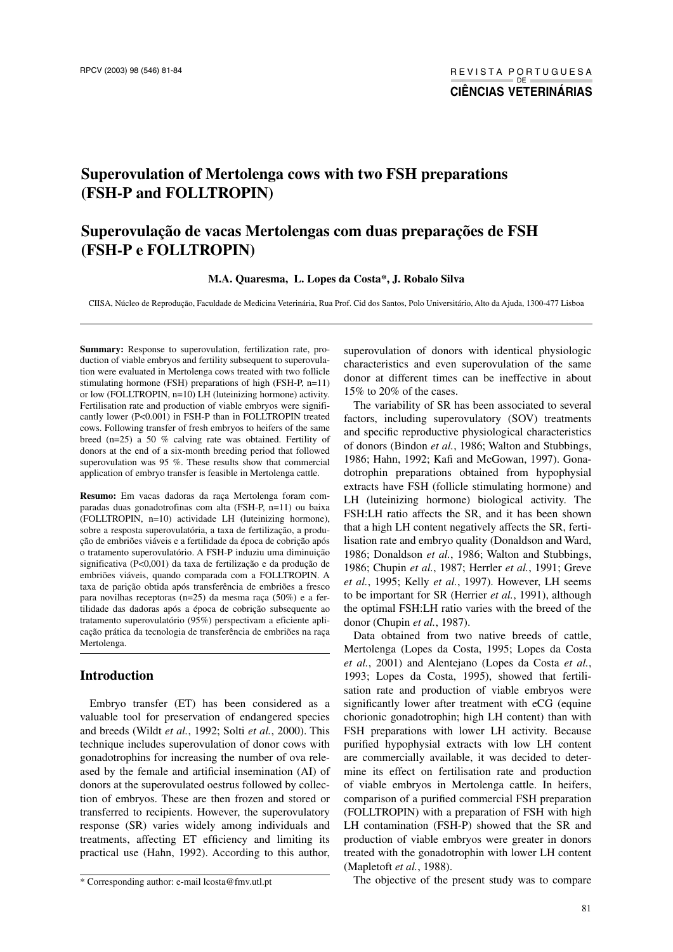# **Superovulation of Mertolenga cows with two FSH preparations (FSH-P and FOLLTROPIN)**

## **Superovulação de vacas Mertolengas com duas preparações de FSH (FSH-P e FOLLTROPIN)**

#### **M.A. Quaresma, L. Lopes da Costa\*, J. Robalo Silva**

CIISA, Núcleo de Reprodução, Faculdade de Medicina Veterinária, Rua Prof. Cid dos Santos, Polo Universitário, Alto da Ajuda, 1300-477 Lisboa

**Summary:** Response to superovulation, fertilization rate, production of viable embryos and fertility subsequent to superovulation were evaluated in Mertolenga cows treated with two follicle stimulating hormone (FSH) preparations of high (FSH-P, n=11) or low (FOLLTROPIN, n=10) LH (luteinizing hormone) activity. Fertilisation rate and production of viable embryos were significantly lower (P<0.001) in FSH-P than in FOLLTROPIN treated cows. Following transfer of fresh embryos to heifers of the same breed (n=25) a 50 % calving rate was obtained. Fertility of donors at the end of a six-month breeding period that followed superovulation was 95 %. These results show that commercial application of embryo transfer is feasible in Mertolenga cattle.

**Resumo:** Em vacas dadoras da raça Mertolenga foram comparadas duas gonadotrofinas com alta (FSH-P, n=11) ou baixa (FOLLTROPIN, n=10) actividade LH (luteinizing hormone), sobre a resposta superovulatória, a taxa de fertilização, a produção de embriões viáveis e a fertilidade da época de cobrição após o tratamento superovulatório. A FSH-P induziu uma diminuição significativa (P<0,001) da taxa de fertilização e da produção de embriões viáveis, quando comparada com a FOLLTROPIN. A taxa de parição obtida após transferência de embriões a fresco para novilhas receptoras (n=25) da mesma raça (50%) e a fertilidade das dadoras após a época de cobrição subsequente ao tratamento superovulatório (95%) perspectivam a eficiente aplicação prática da tecnologia de transferência de embriões na raça Mertolenga.

#### **Introduction**

Embryo transfer (ET) has been considered as a valuable tool for preservation of endangered species and breeds (Wildt *et al.*, 1992; Solti *et al.*, 2000). This technique includes superovulation of donor cows with gonadotrophins for increasing the number of ova released by the female and artificial insemination (AI) of donors at the superovulated oestrus followed by collection of embryos. These are then frozen and stored or transferred to recipients. However, the superovulatory response (SR) varies widely among individuals and treatments, affecting ET efficiency and limiting its practical use (Hahn, 1992). According to this author,

superovulation of donors with identical physiologic characteristics and even superovulation of the same donor at different times can be ineffective in about 15% to 20% of the cases.

The variability of SR has been associated to several factors, including superovulatory (SOV) treatments and specific reproductive physiological characteristics of donors (Bindon *et al.*, 1986; Walton and Stubbings, 1986; Hahn, 1992; Kafi and McGowan, 1997). Gonadotrophin preparations obtained from hypophysial extracts have FSH (follicle stimulating hormone) and LH (luteinizing hormone) biological activity. The FSH:LH ratio affects the SR, and it has been shown that a high LH content negatively affects the SR, fertilisation rate and embryo quality (Donaldson and Ward, 1986; Donaldson *et al.*, 1986; Walton and Stubbings, 1986; Chupin *et al.*, 1987; Herrler *et al.*, 1991; Greve *et al.*, 1995; Kelly *et al.*, 1997). However, LH seems to be important for SR (Herrier *et al.*, 1991), although the optimal FSH:LH ratio varies with the breed of the donor (Chupin *et al.*, 1987).

Data obtained from two native breeds of cattle, Mertolenga (Lopes da Costa, 1995; Lopes da Costa *et al.*, 2001) and Alentejano (Lopes da Costa *et al.*, 1993; Lopes da Costa, 1995), showed that fertilisation rate and production of viable embryos were significantly lower after treatment with eCG (equine chorionic gonadotrophin; high LH content) than with FSH preparations with lower LH activity. Because purified hypophysial extracts with low LH content are commercially available, it was decided to determine its effect on fertilisation rate and production of viable embryos in Mertolenga cattle. In heifers, comparison of a purified commercial FSH preparation (FOLLTROPIN) with a preparation of FSH with high LH contamination (FSH-P) showed that the SR and production of viable embryos were greater in donors treated with the gonadotrophin with lower LH content (Mapletoft *et al.*, 1988).

The objective of the present study was to compare

<sup>\*</sup> Corresponding author: e-mail lcosta@fmv.utl.pt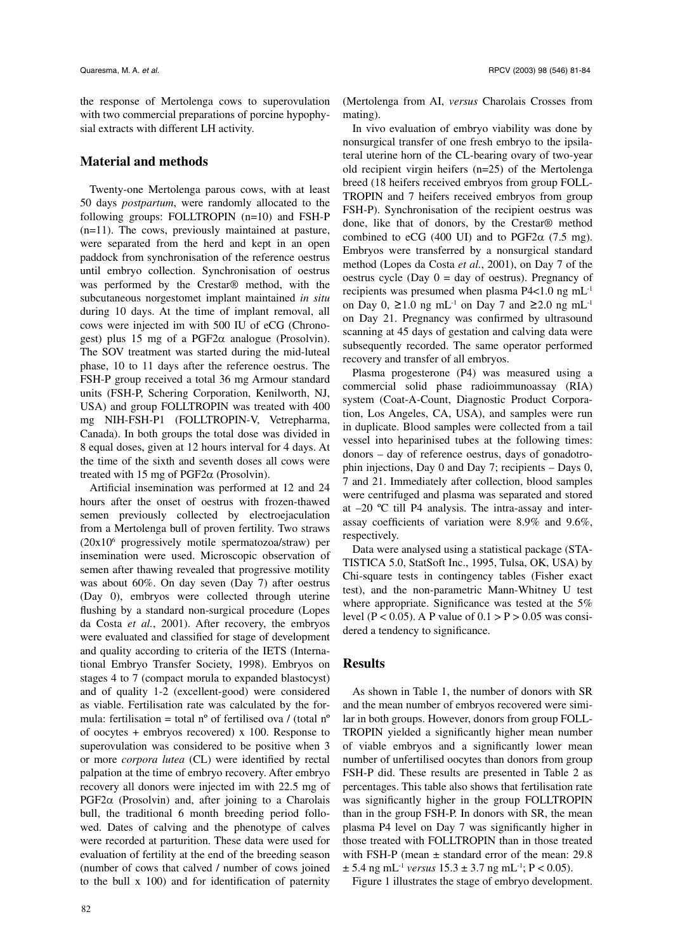the response of Mertolenga cows to superovulation with two commercial preparations of porcine hypophysial extracts with different LH activity.

### **Material and methods**

Twenty-one Mertolenga parous cows, with at least 50 days *postpartum*, were randomly allocated to the following groups: FOLLTROPIN (n=10) and FSH-P (n=11). The cows, previously maintained at pasture, were separated from the herd and kept in an open paddock from synchronisation of the reference oestrus until embryo collection. Synchronisation of oestrus was performed by the Crestar® method, with the subcutaneous norgestomet implant maintained *in situ* during 10 days. At the time of implant removal, all cows were injected im with 500 IU of eCG (Chronogest) plus 15 mg of a PGF2 $\alpha$  analogue (Prosolvin). The SOV treatment was started during the mid-luteal phase, 10 to 11 days after the reference oestrus. The FSH-P group received a total 36 mg Armour standard units (FSH-P, Schering Corporation, Kenilworth, NJ, USA) and group FOLLTROPIN was treated with 400 mg NIH-FSH-P1 (FOLLTROPIN-V, Vetrepharma, Canada). In both groups the total dose was divided in 8 equal doses, given at 12 hours interval for 4 days. At the time of the sixth and seventh doses all cows were treated with 15 mg of  $PGF2\alpha$  (Prosolvin).

Artificial insemination was performed at 12 and 24 hours after the onset of oestrus with frozen-thawed semen previously collected by electroejaculation from a Mertolenga bull of proven fertility. Two straws (20x106 progressively motile spermatozoa/straw) per insemination were used. Microscopic observation of semen after thawing revealed that progressive motility was about 60%. On day seven (Day 7) after oestrus (Day 0), embryos were collected through uterine flushing by a standard non-surgical procedure (Lopes da Costa *et al.*, 2001). After recovery, the embryos were evaluated and classified for stage of development and quality according to criteria of the IETS (International Embryo Transfer Society, 1998). Embryos on stages 4 to 7 (compact morula to expanded blastocyst) and of quality 1-2 (excellent-good) were considered as viable. Fertilisation rate was calculated by the formula: fertilisation = total n<sup>o</sup> of fertilised ova / (total n<sup>o</sup> of oocytes + embryos recovered) x 100. Response to superovulation was considered to be positive when 3 or more *corpora lutea* (CL) were identified by rectal palpation at the time of embryo recovery. After embryo recovery all donors were injected im with 22.5 mg of PGF2 $\alpha$  (Prosolvin) and, after joining to a Charolais bull, the traditional 6 month breeding period followed. Dates of calving and the phenotype of calves were recorded at parturition. These data were used for evaluation of fertility at the end of the breeding season (number of cows that calved / number of cows joined to the bull x 100) and for identification of paternity

(Mertolenga from AI, *versus* Charolais Crosses from mating).

In vivo evaluation of embryo viability was done by nonsurgical transfer of one fresh embryo to the ipsilateral uterine horn of the CL-bearing ovary of two-year old recipient virgin heifers (n=25) of the Mertolenga breed (18 heifers received embryos from group FOLL-TROPIN and 7 heifers received embryos from group FSH-P). Synchronisation of the recipient oestrus was done, like that of donors, by the Crestar® method combined to eCG (400 UI) and to PGF2 $\alpha$  (7.5 mg). Embryos were transferred by a nonsurgical standard method (Lopes da Costa *et al.*, 2001), on Day 7 of the oestrus cycle (Day  $0 = day$  of oestrus). Pregnancy of recipients was presumed when plasma P4<1.0 ng mL-1 on Day 0, ≥1.0 ng mL<sup>-1</sup> on Day 7 and ≥2.0 ng mL<sup>-1</sup> on Day 21. Pregnancy was confirmed by ultrasound scanning at 45 days of gestation and calving data were subsequently recorded. The same operator performed recovery and transfer of all embryos.

Plasma progesterone (P4) was measured using a commercial solid phase radioimmunoassay (RIA) system (Coat-A-Count, Diagnostic Product Corporation, Los Angeles, CA, USA), and samples were run in duplicate. Blood samples were collected from a tail vessel into heparinised tubes at the following times: donors – day of reference oestrus, days of gonadotrophin injections, Day 0 and Day 7; recipients – Days 0, 7 and 21. Immediately after collection, blood samples were centrifuged and plasma was separated and stored at –20 ºC till P4 analysis. The intra-assay and interassay coefficients of variation were 8.9% and 9.6%, respectively.

Data were analysed using a statistical package (STA-TISTICA 5.0, StatSoft Inc., 1995, Tulsa, OK, USA) by Chi-square tests in contingency tables (Fisher exact test), and the non-parametric Mann-Whitney U test where appropriate. Significance was tested at the 5% level (P < 0.05). A P value of  $0.1 > P > 0.05$  was considered a tendency to significance.

## **Results**

As shown in Table 1, the number of donors with SR and the mean number of embryos recovered were similar in both groups. However, donors from group FOLL-TROPIN yielded a significantly higher mean number of viable embryos and a significantly lower mean number of unfertilised oocytes than donors from group FSH-P did. These results are presented in Table 2 as percentages. This table also shows that fertilisation rate was significantly higher in the group FOLLTROPIN than in the group FSH-P. In donors with SR, the mean plasma P4 level on Day 7 was significantly higher in those treated with FOLLTROPIN than in those treated with FSH-P (mean  $\pm$  standard error of the mean: 29.8  $\pm$  5.4 ng mL<sup>-1</sup> *versus* 15.3  $\pm$  3.7 ng mL<sup>-1</sup>; P < 0.05).

Figure 1 illustrates the stage of embryo development.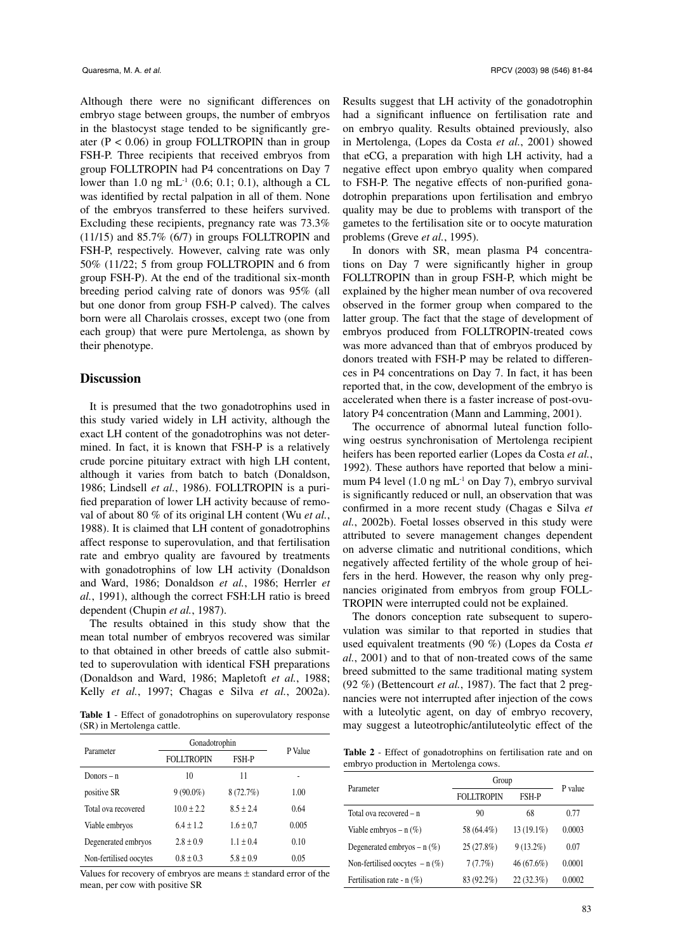Although there were no significant differences on embryo stage between groups, the number of embryos in the blastocyst stage tended to be significantly greater ( $P < 0.06$ ) in group FOLLTROPIN than in group FSH-P. Three recipients that received embryos from group FOLLTROPIN had P4 concentrations on Day 7 lower than 1.0 ng mL<sup>-1</sup> (0.6; 0.1; 0.1), although a CL was identified by rectal palpation in all of them. None of the embryos transferred to these heifers survived. Excluding these recipients, pregnancy rate was 73.3% (11/15) and 85.7% (6/7) in groups FOLLTROPIN and FSH-P, respectively. However, calving rate was only 50% (11/22; 5 from group FOLLTROPIN and 6 from group FSH-P). At the end of the traditional six-month breeding period calving rate of donors was 95% (all but one donor from group FSH-P calved). The calves born were all Charolais crosses, except two (one from each group) that were pure Mertolenga, as shown by their phenotype.

## **Discussion**

It is presumed that the two gonadotrophins used in this study varied widely in LH activity, although the exact LH content of the gonadotrophins was not determined. In fact, it is known that FSH-P is a relatively crude porcine pituitary extract with high LH content, although it varies from batch to batch (Donaldson, 1986; Lindsell *et al.*, 1986). FOLLTROPIN is a purified preparation of lower LH activity because of removal of about 80 % of its original LH content (Wu *et al.*, 1988). It is claimed that LH content of gonadotrophins affect response to superovulation, and that fertilisation rate and embryo quality are favoured by treatments with gonadotrophins of low LH activity (Donaldson and Ward, 1986; Donaldson *et al.*, 1986; Herrler *et al.*, 1991), although the correct FSH:LH ratio is breed dependent (Chupin *et al.*, 1987).

The results obtained in this study show that the mean total number of embryos recovered was similar to that obtained in other breeds of cattle also submitted to superovulation with identical FSH preparations (Donaldson and Ward, 1986; Mapletoft *et al.*, 1988; Kelly *et al.*, 1997; Chagas e Silva *et al.*, 2002a).

**Table 1** - Effect of gonadotrophins on superovulatory response (SR) in Mertolenga cattle.

| Parameter              | Gonadotrophin     |               | P Value |
|------------------------|-------------------|---------------|---------|
|                        | <b>FOLLTROPIN</b> | FSH-P         |         |
| Donors $-$ n           | 10                | 11            |         |
| positive SR            | $9(90.0\%)$       | 8(72.7%)      | 1.00    |
| Total ova recovered    | $10.0 \pm 2.2$    | $8.5 + 2.4$   | 0.64    |
| Viable embryos         | $6.4 \pm 1.2$     | $1.6 \pm 0.7$ | 0.005   |
| Degenerated embryos    | $2.8 \pm 0.9$     | $1.1 \pm 0.4$ | 0.10    |
| Non-fertilised oocytes | $0.8 \pm 0.3$     | $5.8 \pm 0.9$ | 0.05    |

Values for recovery of embryos are means ± standard error of the mean, per cow with positive SR

Results suggest that LH activity of the gonadotrophin had a significant influence on fertilisation rate and on embryo quality. Results obtained previously, also in Mertolenga, (Lopes da Costa *et al.*, 2001) showed that eCG, a preparation with high LH activity, had a negative effect upon embryo quality when compared to FSH-P. The negative effects of non-purified gonadotrophin preparations upon fertilisation and embryo quality may be due to problems with transport of the gametes to the fertilisation site or to oocyte maturation problems (Greve *et al.*, 1995).

In donors with SR, mean plasma P4 concentrations on Day 7 were significantly higher in group FOLLTROPIN than in group FSH-P, which might be explained by the higher mean number of ova recovered observed in the former group when compared to the latter group. The fact that the stage of development of embryos produced from FOLLTROPIN-treated cows was more advanced than that of embryos produced by donors treated with FSH-P may be related to differences in P4 concentrations on Day 7. In fact, it has been reported that, in the cow, development of the embryo is accelerated when there is a faster increase of post-ovulatory P4 concentration (Mann and Lamming, 2001).

The occurrence of abnormal luteal function following oestrus synchronisation of Mertolenga recipient heifers has been reported earlier (Lopes da Costa *et al.*, 1992). These authors have reported that below a minimum P4 level  $(1.0 \text{ ng } mL^{-1}$  on Day 7), embryo survival is significantly reduced or null, an observation that was confirmed in a more recent study (Chagas e Silva *et al.*, 2002b). Foetal losses observed in this study were attributed to severe management changes dependent on adverse climatic and nutritional conditions, which negatively affected fertility of the whole group of heifers in the herd. However, the reason why only pregnancies originated from embryos from group FOLL-TROPIN were interrupted could not be explained.

The donors conception rate subsequent to superovulation was similar to that reported in studies that used equivalent treatments (90 %) (Lopes da Costa *et al.*, 2001) and to that of non-treated cows of the same breed submitted to the same traditional mating system (92 %) (Bettencourt *et al.*, 1987). The fact that 2 pregnancies were not interrupted after injection of the cows with a luteolytic agent, on day of embryo recovery, may suggest a luteotrophic/antiluteolytic effect of the

**Table 2** - Effect of gonadotrophins on fertilisation rate and on embryo production in Mertolenga cows.

| Parameter                        | Group             |             | P value |
|----------------------------------|-------------------|-------------|---------|
|                                  | <b>FOLLTROPIN</b> | FSH-P       |         |
| Total ova recovered – n          | 90                | 68          | 0.77    |
| Viable embryos – $n$ (%)         | 58 (64.4%)        | 13 (19.1%)  | 0.0003  |
| Degenerated embryos $- n$ (%)    | 25(27.8%)         | $9(13.2\%)$ | 0.07    |
| Non-fertilised oocytes $- n$ (%) | 7(7.7%)           | 46(67.6%)   | 0.0001  |
| Fertilisation rate - $n$ (%)     | 83 (92.2%)        | 22(32.3%)   | 0.0002  |